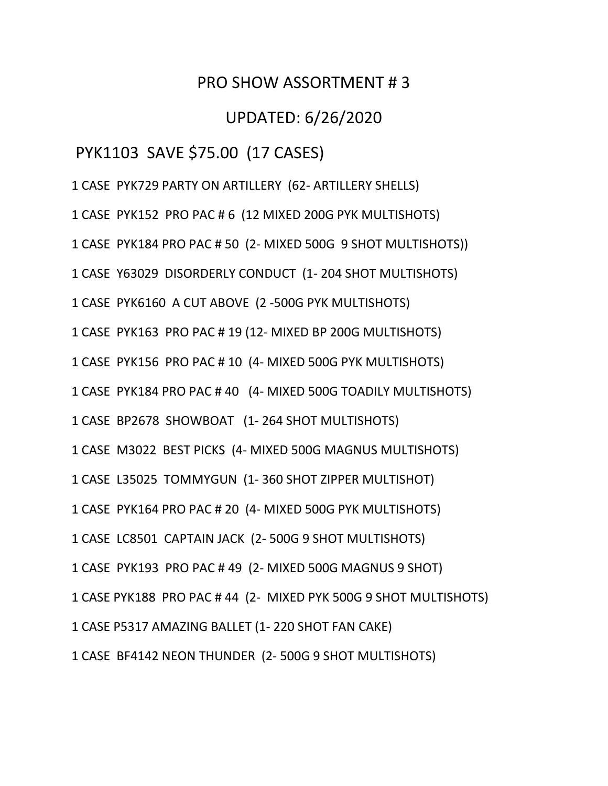### PRO SHOW ASSORTMENT # 3

## UPDATED: 6/26/2020

### PYK1103 SAVE \$75.00 (17 CASES)

1 CASE PYK729 PARTY ON ARTILLERY (62- ARTILLERY SHELLS)

1 CASE PYK152 PRO PAC # 6 (12 MIXED 200G PYK MULTISHOTS)

1 CASE PYK184 PRO PAC # 50 (2- MIXED 500G 9 SHOT MULTISHOTS))

1 CASE Y63029 DISORDERLY CONDUCT (1- 204 SHOT MULTISHOTS)

1 CASE PYK6160 A CUT ABOVE (2 -500G PYK MULTISHOTS)

1 CASE PYK163 PRO PAC # 19 (12- MIXED BP 200G MULTISHOTS)

1 CASE PYK156 PRO PAC # 10 (4- MIXED 500G PYK MULTISHOTS)

1 CASE PYK184 PRO PAC # 40 (4- MIXED 500G TOADILY MULTISHOTS)

1 CASE BP2678 SHOWBOAT (1- 264 SHOT MULTISHOTS)

1 CASE M3022 BEST PICKS (4- MIXED 500G MAGNUS MULTISHOTS)

1 CASE L35025 TOMMYGUN (1- 360 SHOT ZIPPER MULTISHOT)

1 CASE PYK164 PRO PAC # 20 (4- MIXED 500G PYK MULTISHOTS)

1 CASE LC8501 CAPTAIN JACK (2- 500G 9 SHOT MULTISHOTS)

1 CASE PYK193 PRO PAC # 49 (2- MIXED 500G MAGNUS 9 SHOT)

1 CASE PYK188 PRO PAC # 44 (2- MIXED PYK 500G 9 SHOT MULTISHOTS)

1 CASE P5317 AMAZING BALLET (1- 220 SHOT FAN CAKE)

1 CASE BF4142 NEON THUNDER (2- 500G 9 SHOT MULTISHOTS)